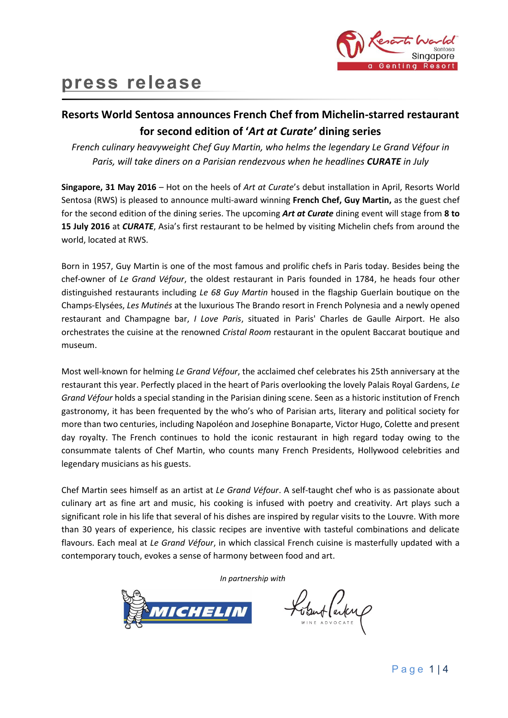

# **press release**

## **Resorts World Sentosa announces French Chef from Michelin-starred restaurant for second edition of '***Art at Curate'* **dining series**

*French culinary heavyweight Chef Guy Martin, who helms the legendary Le Grand Véfour in Paris, will take diners on a Parisian rendezvous when he headlines CURATE in July*

**Singapore, 31 May 2016** – Hot on the heels of *Art at Curate*'s debut installation in April, Resorts World Sentosa (RWS) is pleased to announce multi-award winning **French Chef, Guy Martin,** as the guest chef for the second edition of the dining series. The upcoming *Art at Curate* dining event will stage from **8 to 15 July 2016** at *CURATE*, Asia's first restaurant to be helmed by visiting Michelin chefs from around the world, located at RWS.

Born in 1957, Guy Martin is one of the most famous and prolific chefs in Paris today. Besides being the chef-owner of *Le Grand Véfour*, the oldest restaurant in Paris founded in 1784, he heads four other distinguished restaurants including *Le 68 Guy Martin* housed in the flagship Guerlain boutique on the Champs-Elysées, *Les Mutinés* at the luxurious The Brando resort in French Polynesia and a newly opened restaurant and Champagne bar, *I Love Paris*, situated in Paris' Charles de Gaulle Airport. He also orchestrates the cuisine at the renowned *Cristal Room* restaurant in the opulent Baccarat boutique and museum.

Most well-known for helming *Le Grand Véfour*, the acclaimed chef celebrates his 25th anniversary at the restaurant this year. Perfectly placed in the heart of Paris overlooking the lovely Palais Royal Gardens, *Le Grand Véfour* holds a special standing in the Parisian dining scene. Seen as a historic institution of French gastronomy, it has been frequented by the who's who of Parisian arts, literary and political society for more than two centuries, including Napoléon and Josephine Bonaparte, Victor Hugo, Colette and present day royalty. The French continues to hold the iconic restaurant in high regard today owing to the consummate talents of Chef Martin, who counts many French Presidents, Hollywood celebrities and legendary musicians as his guests.

Chef Martin sees himself as an artist at *Le Grand Véfour*. A self-taught chef who is as passionate about culinary art as fine art and music, his cooking is infused with poetry and creativity. Art plays such a significant role in his life that several of his dishes are inspired by regular visits to the Louvre. With more than 30 years of experience, his classic recipes are inventive with tasteful combinations and delicate flavours. Each meal at *Le Grand Véfour*, in which classical French cuisine is masterfully updated with a contemporary touch, evokes a sense of harmony between food and art.

*In partnership with*



obut (autre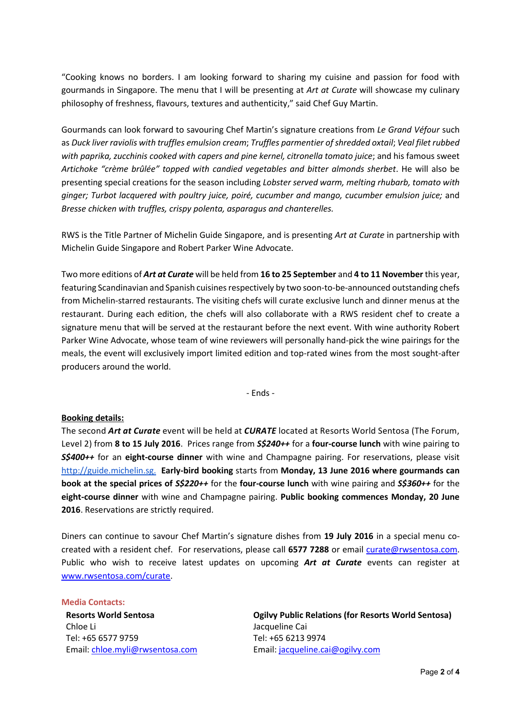"Cooking knows no borders. I am looking forward to sharing my cuisine and passion for food with gourmands in Singapore. The menu that I will be presenting at *Art at Curate* will showcase my culinary philosophy of freshness, flavours, textures and authenticity," said Chef Guy Martin.

Gourmands can look forward to savouring Chef Martin's signature creations from *Le Grand Véfour* such as *Duck liver raviolis with truffles emulsion cream*; *Truffles parmentier of shredded oxtail*; *Veal filet rubbed with paprika, zucchinis cooked with capers and pine kernel, citronella tomato juice*; and his famous sweet *Artichoke "crème brûlée" topped with candied vegetables and bitter almonds sherbet*. He will also be presenting special creations for the season including *Lobster served warm, melting rhubarb, tomato with ginger; Turbot lacquered with poultry juice, poiré, cucumber and mango, cucumber emulsion juice;* and *Bresse chicken with truffles, crispy polenta, asparagus and chanterelles.* 

RWS is the Title Partner of Michelin Guide Singapore, and is presenting *Art at Curate* in partnership with Michelin Guide Singapore and Robert Parker Wine Advocate.

Two more editions of *Art at Curate* will be held from **16 to 25 September** and **4 to 11 November** this year, featuring Scandinavian and Spanish cuisines respectively by two soon-to-be-announced outstanding chefs from Michelin-starred restaurants. The visiting chefs will curate exclusive lunch and dinner menus at the restaurant. During each edition, the chefs will also collaborate with a RWS resident chef to create a signature menu that will be served at the restaurant before the next event. With wine authority Robert Parker Wine Advocate, whose team of wine reviewers will personally hand-pick the wine pairings for the meals, the event will exclusively import limited edition and top-rated wines from the most sought-after producers around the world.

- Ends -

### **Booking details:**

The second *Art at Curate* event will be held at *CURATE* located at Resorts World Sentosa (The Forum, Level 2) from **8 to 15 July 2016**. Prices range from *S\$240++* for a **four-course lunch** with wine pairing to *S\$400++* for an **eight-course dinner** with wine and Champagne pairing. For reservations, please visit [http://guide.michelin.sg.](http://guide.michelin.sg/) **Early-bird booking** starts from **Monday, 13 June 2016 where gourmands can book at the special prices of** *S\$220++* for the **four-course lunch** with wine pairing and *S\$360++* for the **eight-course dinner** with wine and Champagne pairing. **Public booking commences Monday, 20 June 2016**. Reservations are strictly required.

Diners can continue to savour Chef Martin's signature dishes from **19 July 2016** in a special menu cocreated with a resident chef. For reservations, please call **6577 7288** or email [curate@rwsentosa.com.](mailto:curate@rwsentosa.com) Public who wish to receive latest updates on upcoming *Art at Curate* events can register at [www.rwsentosa.com/curate.](http://www.rwsentosa.com/curate)

#### **Media Contacts:**

**Resorts World Sentosa** Chloe Li Tel: +65 6577 9759 Email: [chloe.myli@rwsentosa.com](mailto:chloe.myli@rwsentosa.com)

**Ogilvy Public Relations (for Resorts World Sentosa)**  Jacqueline Cai Tel: +65 6213 9974 Email: [jacqueline.cai@ogilvy.com](mailto:jacqueline.cai@ogilvy.com)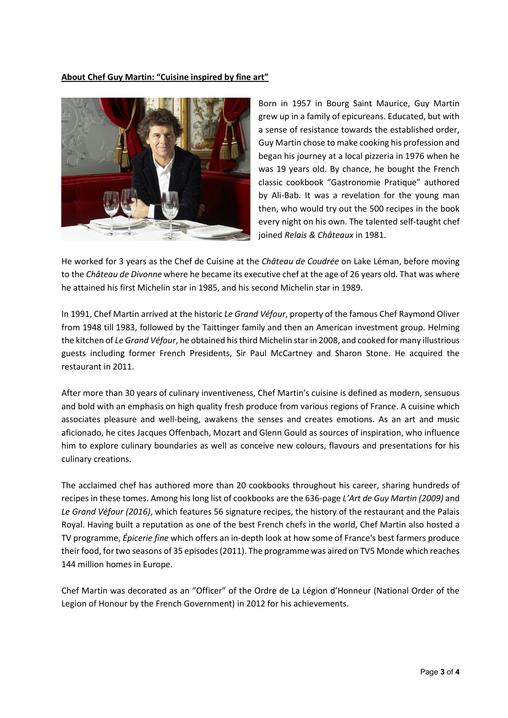**About Chef Guy Martin: "Cuisine inspired by fine art"**



Born in 1957 in Bourg Saint Maurice, Guy Martin grew up in a family of epicureans. Educated, but with a sense of resistance towards the established order, Guy Martin chose to make cooking his profession and began his journey at a local pizzeria in 1976 when he was 19 years old. By chance, he bought the French classic cookbook "Gastronomie Pratique" authored by Ali-Bab. It was a revelation for the young man then, who would try out the 500 recipes in the book every night on his own. The talented self-taught chef joined *Relais & Châteaux* in 1981.

He worked for 3 years as the Chef de Cuisine at the *Château de Coudrée* on Lake Léman, before moving to the *Château de Divonne* where he became its executive chef at the age of 26 years old. That was where he attained his first Michelin star in 1985, and his second Michelin star in 1989.

In 1991, Chef Martin arrived at the historic *Le Grand Véfour*, property of the famous Chef Raymond Oliver from 1948 till 1983, followed by the Taittinger family and then an American investment group. Helming the kitchen of *Le Grand Véfour*, he obtained his third Michelin star in 2008, and cooked for many illustrious guests including former French Presidents, Sir Paul McCartney and Sharon Stone. He acquired the restaurant in 2011.

After more than 30 years of culinary inventiveness, Chef Martin's cuisine is defined as modern, sensuous and bold with an emphasis on high quality fresh produce from various regions of France. A cuisine which associates pleasure and well-being, awakens the senses and creates emotions. As an art and music aficionado, he cites Jacques Offenbach, Mozart and Glenn Gould as sources of inspiration, who influence him to explore culinary boundaries as well as conceive new colours, flavours and presentations for his culinary creations.

The acclaimed chef has authored more than 20 cookbooks throughout his career, sharing hundreds of recipes in these tomes. Among his long list of cookbooks are the 636-page *L'Art de Guy Martin (2009)* and *Le Grand Véfour (2016)*, which features 56 signature recipes, the history of the restaurant and the Palais Royal. Having built a reputation as one of the best French chefs in the world, Chef Martin also hosted a TV programme, *Épicerie fine* which offers an in-depth look at how some of France's best farmers produce their food, for two seasons of 35 episodes (2011). The programme was aired on TV5 Monde which reaches 144 million homes in Europe.

Chef Martin was decorated as an "Officer" of the Ordre de La Légion d'Honneur (National Order of the Legion of Honour by the French Government) in 2012 for his achievements.